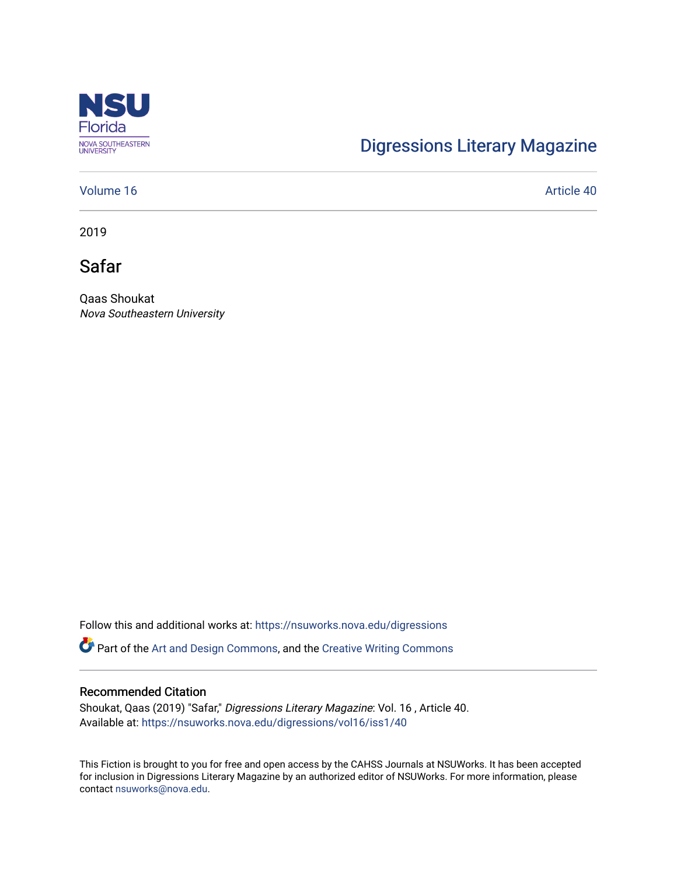

## [Digressions Literary Magazine](https://nsuworks.nova.edu/digressions)

## [Volume 16](https://nsuworks.nova.edu/digressions/vol16) Article 40

2019

Safar

Qaas Shoukat Nova Southeastern University

Follow this and additional works at: [https://nsuworks.nova.edu/digressions](https://nsuworks.nova.edu/digressions?utm_source=nsuworks.nova.edu%2Fdigressions%2Fvol16%2Fiss1%2F40&utm_medium=PDF&utm_campaign=PDFCoverPages) 

**C** Part of the [Art and Design Commons](http://network.bepress.com/hgg/discipline/1049?utm_source=nsuworks.nova.edu%2Fdigressions%2Fvol16%2Fiss1%2F40&utm_medium=PDF&utm_campaign=PDFCoverPages), and the [Creative Writing Commons](http://network.bepress.com/hgg/discipline/574?utm_source=nsuworks.nova.edu%2Fdigressions%2Fvol16%2Fiss1%2F40&utm_medium=PDF&utm_campaign=PDFCoverPages)

#### Recommended Citation

Shoukat, Qaas (2019) "Safar," Digressions Literary Magazine: Vol. 16 , Article 40. Available at: [https://nsuworks.nova.edu/digressions/vol16/iss1/40](https://nsuworks.nova.edu/digressions/vol16/iss1/40?utm_source=nsuworks.nova.edu%2Fdigressions%2Fvol16%2Fiss1%2F40&utm_medium=PDF&utm_campaign=PDFCoverPages)

This Fiction is brought to you for free and open access by the CAHSS Journals at NSUWorks. It has been accepted for inclusion in Digressions Literary Magazine by an authorized editor of NSUWorks. For more information, please contact [nsuworks@nova.edu.](mailto:nsuworks@nova.edu)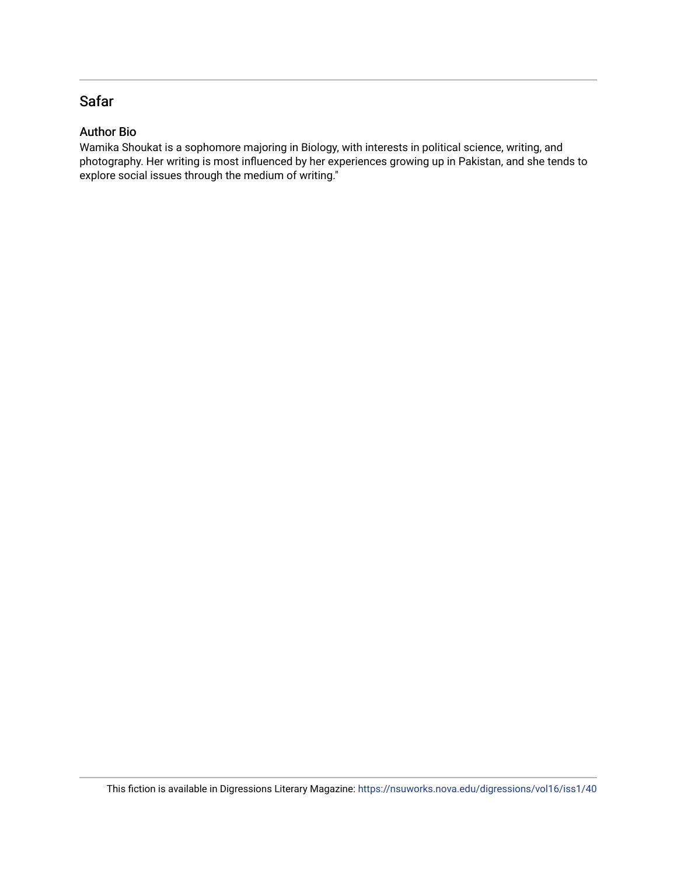## Safar

## Author Bio

Wamika Shoukat is a sophomore majoring in Biology, with interests in political science, writing, and photography. Her writing is most influenced by her experiences growing up in Pakistan, and she tends to explore social issues through the medium of writing."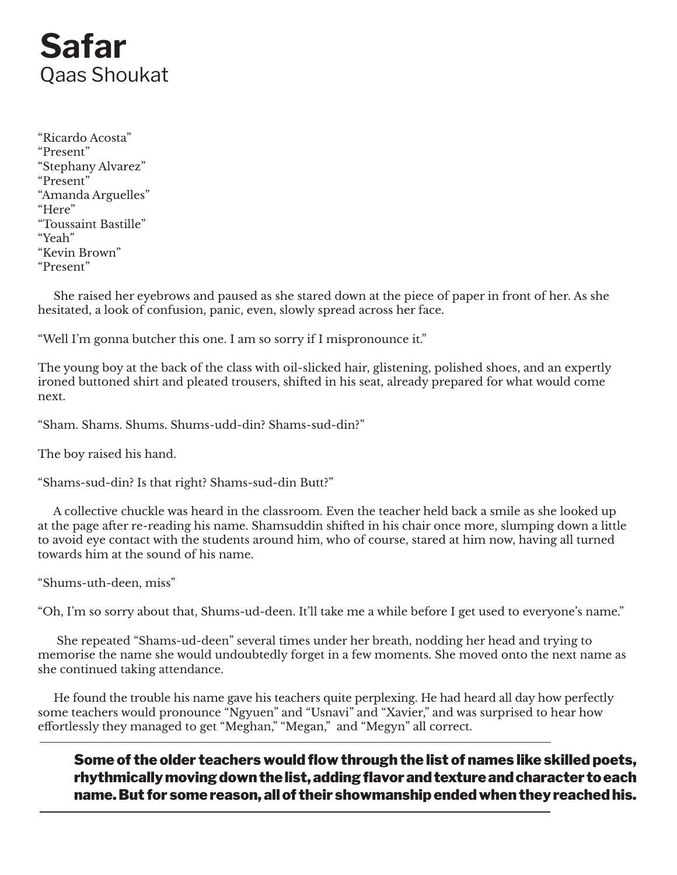# **Safar** Qaas Shoukat

"Ricardo Acosta" "Present" "Stephany Alvarez" "Present" "Amanda Arguelles" "Here" "Toussaint Bastille" "Yeah" "Kevin Brown" "Present"

 She raised her eyebrows and paused as she stared down at the piece of paper in front of her. As she hesitated, a look of confusion, panic, even, slowly spread across her face.

"Well I'm gonna butcher this one. I am so sorry if I mispronounce it."

The young boy at the back of the class with oil-slicked hair, glistening, polished shoes, and an expertly ironed buttoned shirt and pleated trousers, shifted in his seat, already prepared for what would come next.

"Sham. Shams. Shums. Shums-udd-din? Shams-sud-din?"

The boy raised his hand.

"Shams-sud-din? Is that right? Shams-sud-din Butt?"

 A collective chuckle was heard in the classroom. Even the teacher held back a smile as she looked up at the page after re-reading his name. Shamsuddin shifted in his chair once more, slumping down a little to avoid eye contact with the students around him, who of course, stared at him now, having all turned towards him at the sound of his name.

"Shums-uth-deen, miss"

"Oh, I'm so sorry about that, Shums-ud-deen. It'll take me a while before I get used to everyone's name."

 She repeated "Shams-ud-deen" several times under her breath, nodding her head and trying to memorise the name she would undoubtedly forget in a few moments. She moved onto the next name as she continued taking attendance.

 He found the trouble his name gave his teachers quite perplexing. He had heard all day how perfectly some teachers would pronounce "Ngyuen" and "Usnavi" and "Xavier," and was surprised to hear how effortlessly they managed to get "Meghan," "Megan," and "Megyn" all correct.

Some of the older teachers would flow through the list of names like skilled poets, rhythmically moving down the list, adding flavor and texture and character to each name. But for some reason, all of their showmanship ended when they reached his.